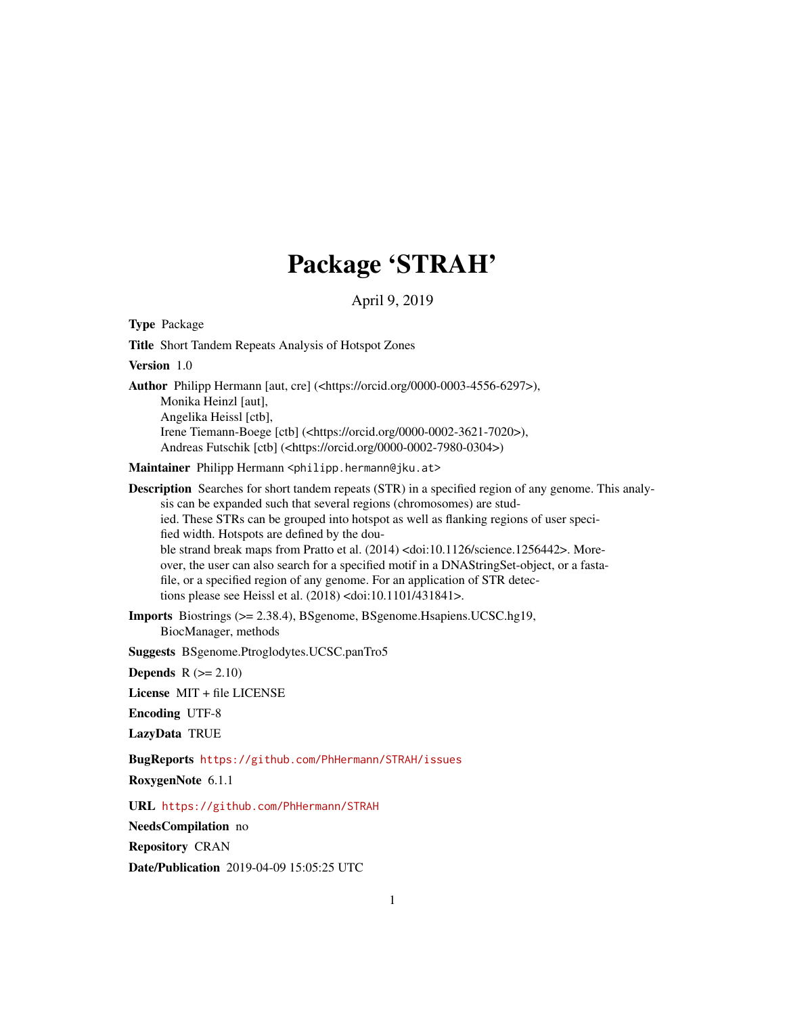# Package 'STRAH'

April 9, 2019

| <b>Type Package</b>                                                                                                                                                                                                                                                                                                                                                                                                                                                                                                                                                                                                                                                                                     |
|---------------------------------------------------------------------------------------------------------------------------------------------------------------------------------------------------------------------------------------------------------------------------------------------------------------------------------------------------------------------------------------------------------------------------------------------------------------------------------------------------------------------------------------------------------------------------------------------------------------------------------------------------------------------------------------------------------|
| Title Short Tandem Repeats Analysis of Hotspot Zones                                                                                                                                                                                                                                                                                                                                                                                                                                                                                                                                                                                                                                                    |
| Version 1.0                                                                                                                                                                                                                                                                                                                                                                                                                                                                                                                                                                                                                                                                                             |
| Author Philipp Hermann [aut, cre] ( <https: 0000-0003-4556-6297="" orcid.org="">),<br/>Monika Heinzl [aut],<br/>Angelika Heissl [ctb],<br/>Irene Tiemann-Boege [ctb] (<https: 0000-0002-3621-7020="" orcid.org="">),<br/>Andreas Futschik [ctb] (<https: 0000-0002-7980-0304="" orcid.org="">)</https:></https:></https:>                                                                                                                                                                                                                                                                                                                                                                               |
| Maintainer Philipp Hermann <philipp.hermann@jku.at></philipp.hermann@jku.at>                                                                                                                                                                                                                                                                                                                                                                                                                                                                                                                                                                                                                            |
| <b>Description</b> Searches for short tandem repeats (STR) in a specified region of any genome. This analy-<br>sis can be expanded such that several regions (chromosomes) are stud-<br>ied. These STRs can be grouped into hotspot as well as flanking regions of user speci-<br>fied width. Hotspots are defined by the dou-<br>ble strand break maps from Pratto et al. (2014) <doi:10.1126 science.1256442="">. More-<br/>over, the user can also search for a specified motif in a DNAStringSet-object, or a fasta-<br/>file, or a specified region of any genome. For an application of STR detec-<br/>tions please see Heissl et al. (2018) <doi:10.1101 431841="">.</doi:10.1101></doi:10.1126> |
| <b>Imports</b> Biostrings (>= 2.38.4), BSgenome, BSgenome. Hsapiens. UCSC.hg19,<br>BiocManager, methods                                                                                                                                                                                                                                                                                                                                                                                                                                                                                                                                                                                                 |
| Suggests BSgenome.Ptroglodytes.UCSC.panTro5                                                                                                                                                                                                                                                                                                                                                                                                                                                                                                                                                                                                                                                             |
| <b>Depends</b> $R (= 2.10)$                                                                                                                                                                                                                                                                                                                                                                                                                                                                                                                                                                                                                                                                             |
| License MIT + file LICENSE                                                                                                                                                                                                                                                                                                                                                                                                                                                                                                                                                                                                                                                                              |
| <b>Encoding UTF-8</b>                                                                                                                                                                                                                                                                                                                                                                                                                                                                                                                                                                                                                                                                                   |
| LazyData TRUE                                                                                                                                                                                                                                                                                                                                                                                                                                                                                                                                                                                                                                                                                           |
| BugReports https://github.com/PhHermann/STRAH/issues<br>RoxygenNote 6.1.1                                                                                                                                                                                                                                                                                                                                                                                                                                                                                                                                                                                                                               |
| URL https://github.com/PhHermann/STRAH                                                                                                                                                                                                                                                                                                                                                                                                                                                                                                                                                                                                                                                                  |
| NeedsCompilation no                                                                                                                                                                                                                                                                                                                                                                                                                                                                                                                                                                                                                                                                                     |
| <b>Repository CRAN</b>                                                                                                                                                                                                                                                                                                                                                                                                                                                                                                                                                                                                                                                                                  |

Date/Publication 2019-04-09 15:05:25 UTC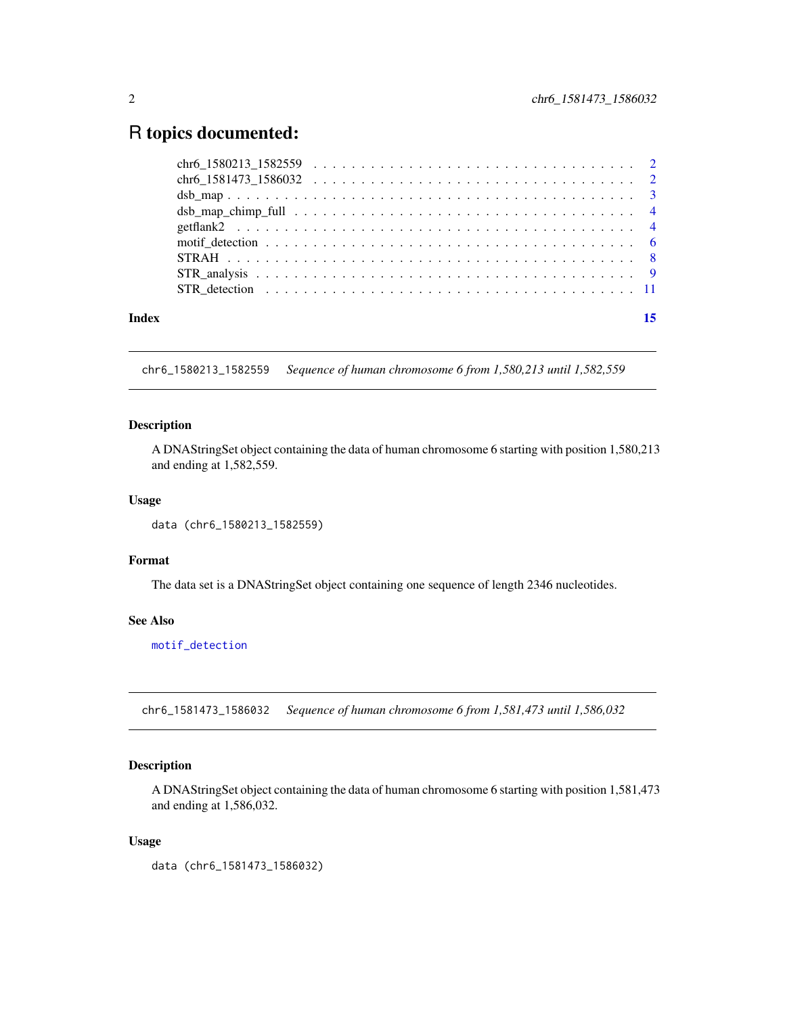# <span id="page-1-0"></span>R topics documented:

| Index |  |  |  |
|-------|--|--|--|
|       |  |  |  |
|       |  |  |  |
|       |  |  |  |
|       |  |  |  |
|       |  |  |  |
|       |  |  |  |
|       |  |  |  |
|       |  |  |  |
|       |  |  |  |

chr6\_1580213\_1582559 *Sequence of human chromosome 6 from 1,580,213 until 1,582,559*

#### Description

A DNAStringSet object containing the data of human chromosome 6 starting with position 1,580,213 and ending at 1,582,559.

#### Usage

```
data (chr6_1580213_1582559)
```
# Format

The data set is a DNAStringSet object containing one sequence of length 2346 nucleotides.

# See Also

[motif\\_detection](#page-5-1)

chr6\_1581473\_1586032 *Sequence of human chromosome 6 from 1,581,473 until 1,586,032*

#### Description

A DNAStringSet object containing the data of human chromosome 6 starting with position 1,581,473 and ending at 1,586,032.

#### Usage

data (chr6\_1581473\_1586032)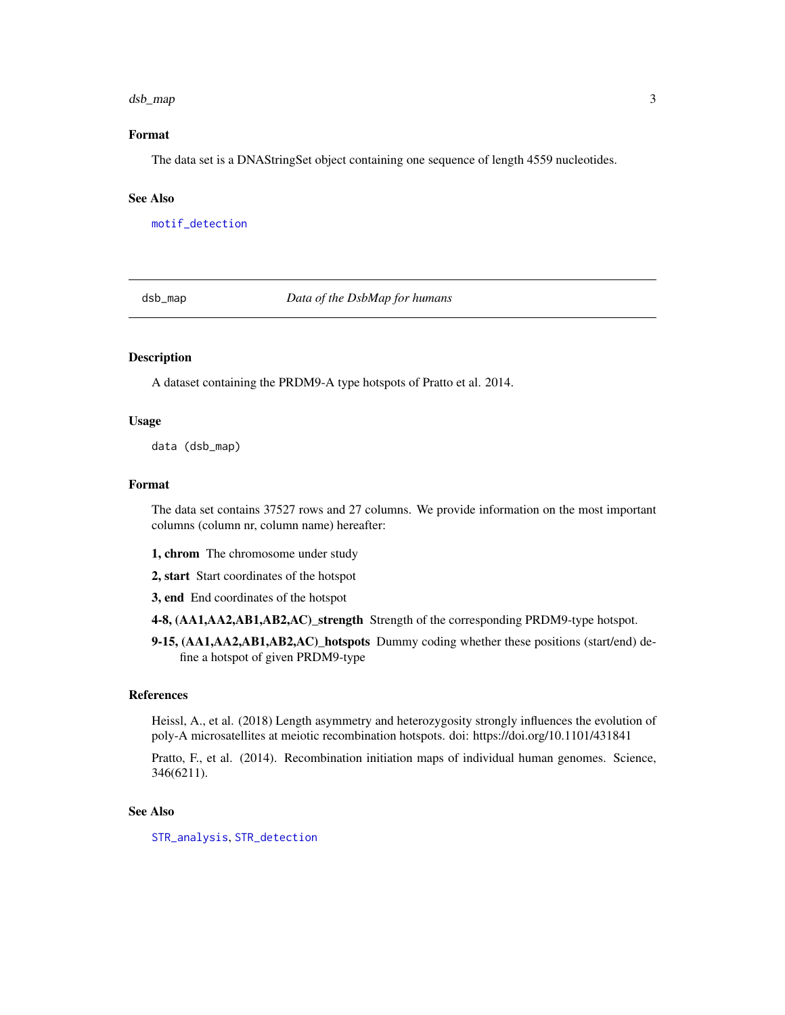#### <span id="page-2-0"></span>dsb\_map 3

# Format

The data set is a DNAStringSet object containing one sequence of length 4559 nucleotides.

#### See Also

[motif\\_detection](#page-5-1)

dsb\_map *Data of the DsbMap for humans*

#### Description

A dataset containing the PRDM9-A type hotspots of Pratto et al. 2014.

#### Usage

data (dsb\_map)

#### Format

The data set contains 37527 rows and 27 columns. We provide information on the most important columns (column nr, column name) hereafter:

- 1, chrom The chromosome under study
- 2, start Start coordinates of the hotspot
- 3, end End coordinates of the hotspot
- 4-8, (AA1,AA2,AB1,AB2,AC)\_strength Strength of the corresponding PRDM9-type hotspot.
- 9-15, (AA1,AA2,AB1,AB2,AC)\_hotspots Dummy coding whether these positions (start/end) define a hotspot of given PRDM9-type

### References

Heissl, A., et al. (2018) Length asymmetry and heterozygosity strongly influences the evolution of poly-A microsatellites at meiotic recombination hotspots. doi: https://doi.org/10.1101/431841

Pratto, F., et al. (2014). Recombination initiation maps of individual human genomes. Science, 346(6211).

#### See Also

[STR\\_analysis](#page-8-1), [STR\\_detection](#page-10-1)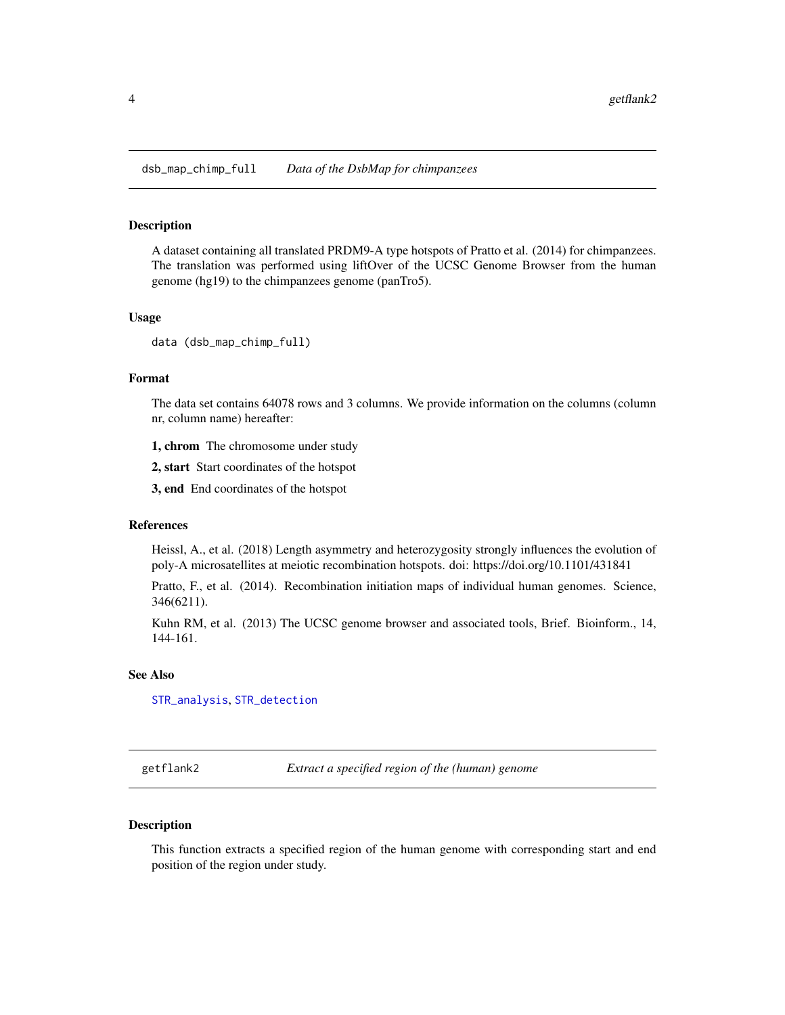<span id="page-3-0"></span>dsb\_map\_chimp\_full *Data of the DsbMap for chimpanzees*

### Description

A dataset containing all translated PRDM9-A type hotspots of Pratto et al. (2014) for chimpanzees. The translation was performed using liftOver of the UCSC Genome Browser from the human genome (hg19) to the chimpanzees genome (panTro5).

#### Usage

```
data (dsb_map_chimp_full)
```
#### Format

The data set contains 64078 rows and 3 columns. We provide information on the columns (column nr, column name) hereafter:

1, chrom The chromosome under study

2, start Start coordinates of the hotspot

3, end End coordinates of the hotspot

# References

Heissl, A., et al. (2018) Length asymmetry and heterozygosity strongly influences the evolution of poly-A microsatellites at meiotic recombination hotspots. doi: https://doi.org/10.1101/431841

Pratto, F., et al. (2014). Recombination initiation maps of individual human genomes. Science, 346(6211).

Kuhn RM, et al. (2013) The UCSC genome browser and associated tools, Brief. Bioinform., 14, 144-161.

#### See Also

[STR\\_analysis](#page-8-1), [STR\\_detection](#page-10-1)

<span id="page-3-1"></span>getflank2 *Extract a specified region of the (human) genome*

#### Description

This function extracts a specified region of the human genome with corresponding start and end position of the region under study.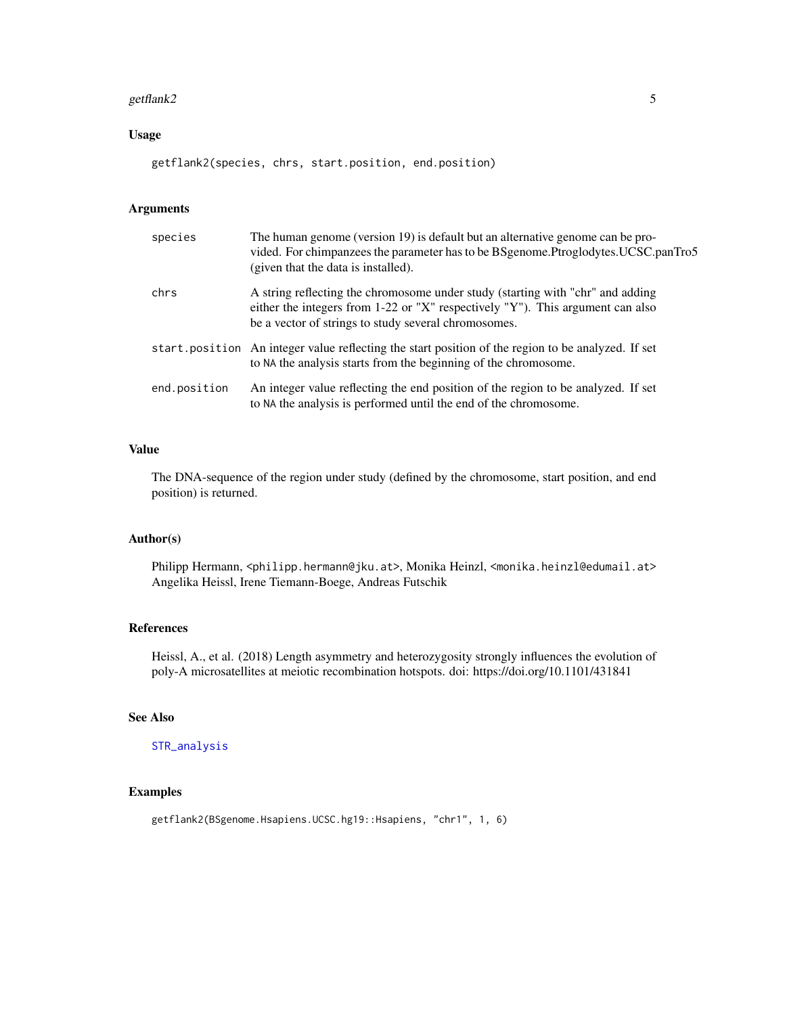#### <span id="page-4-0"></span>getflank2  $\sim$  5

# Usage

getflank2(species, chrs, start.position, end.position)

#### Arguments

| species      | The human genome (version 19) is default but an alternative genome can be pro-<br>vided. For chimpanzees the parameter has to be BSgenome. Ptroglodytes. UCSC.panTro5<br>(given that the data is installed).             |
|--------------|--------------------------------------------------------------------------------------------------------------------------------------------------------------------------------------------------------------------------|
| chrs         | A string reflecting the chromosome under study (starting with "chr" and adding<br>either the integers from 1-22 or "X" respectively "Y"). This argument can also<br>be a vector of strings to study several chromosomes. |
|              | start position An integer value reflecting the start position of the region to be analyzed. If set<br>to NA the analysis starts from the beginning of the chromosome.                                                    |
| end.position | An integer value reflecting the end position of the region to be analyzed. If set<br>to NA the analysis is performed until the end of the chromosome.                                                                    |

#### Value

The DNA-sequence of the region under study (defined by the chromosome, start position, and end position) is returned.

# Author(s)

Philipp Hermann, <philipp.hermann@jku.at>, Monika Heinzl, <monika.heinzl@edumail.at> Angelika Heissl, Irene Tiemann-Boege, Andreas Futschik

# References

Heissl, A., et al. (2018) Length asymmetry and heterozygosity strongly influences the evolution of poly-A microsatellites at meiotic recombination hotspots. doi: https://doi.org/10.1101/431841

#### See Also

#### [STR\\_analysis](#page-8-1)

# Examples

getflank2(BSgenome.Hsapiens.UCSC.hg19::Hsapiens, "chr1", 1, 6)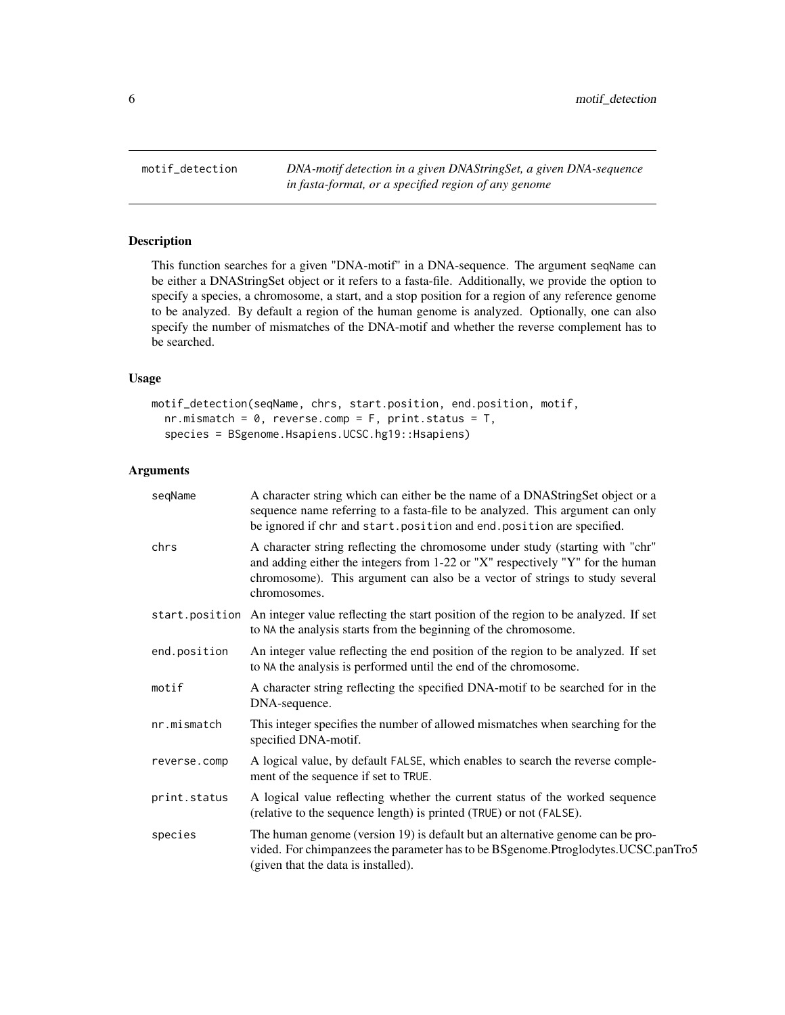<span id="page-5-1"></span><span id="page-5-0"></span>motif\_detection *DNA-motif detection in a given DNAStringSet, a given DNA-sequence in fasta-format, or a specified region of any genome*

# Description

This function searches for a given "DNA-motif" in a DNA-sequence. The argument seqName can be either a DNAStringSet object or it refers to a fasta-file. Additionally, we provide the option to specify a species, a chromosome, a start, and a stop position for a region of any reference genome to be analyzed. By default a region of the human genome is analyzed. Optionally, one can also specify the number of mismatches of the DNA-motif and whether the reverse complement has to be searched.

#### Usage

```
motif_detection(seqName, chrs, start.position, end.position, motif,
  nr.mismatch = 0, reverse.comp = F, print.status = T,
  species = BSgenome.Hsapiens.UCSC.hg19::Hsapiens)
```
#### Arguments

| seqName      | A character string which can either be the name of a DNAStringSet object or a<br>sequence name referring to a fasta-file to be analyzed. This argument can only<br>be ignored if chr and start. position and end. position are specified.                      |
|--------------|----------------------------------------------------------------------------------------------------------------------------------------------------------------------------------------------------------------------------------------------------------------|
| chrs         | A character string reflecting the chromosome under study (starting with "chr"<br>and adding either the integers from 1-22 or "X" respectively "Y" for the human<br>chromosome). This argument can also be a vector of strings to study several<br>chromosomes. |
|              | start position An integer value reflecting the start position of the region to be analyzed. If set<br>to NA the analysis starts from the beginning of the chromosome.                                                                                          |
| end.position | An integer value reflecting the end position of the region to be analyzed. If set<br>to NA the analysis is performed until the end of the chromosome.                                                                                                          |
| motif        | A character string reflecting the specified DNA-motif to be searched for in the<br>DNA-sequence.                                                                                                                                                               |
| nr.mismatch  | This integer specifies the number of allowed mismatches when searching for the<br>specified DNA-motif.                                                                                                                                                         |
| reverse.comp | A logical value, by default FALSE, which enables to search the reverse comple-<br>ment of the sequence if set to TRUE.                                                                                                                                         |
| print.status | A logical value reflecting whether the current status of the worked sequence<br>(relative to the sequence length) is printed (TRUE) or not (FALSE).                                                                                                            |
| species      | The human genome (version 19) is default but an alternative genome can be pro-<br>vided. For chimpanzees the parameter has to be BSgenome.Ptroglodytes.UCSC.panTro5<br>(given that the data is installed).                                                     |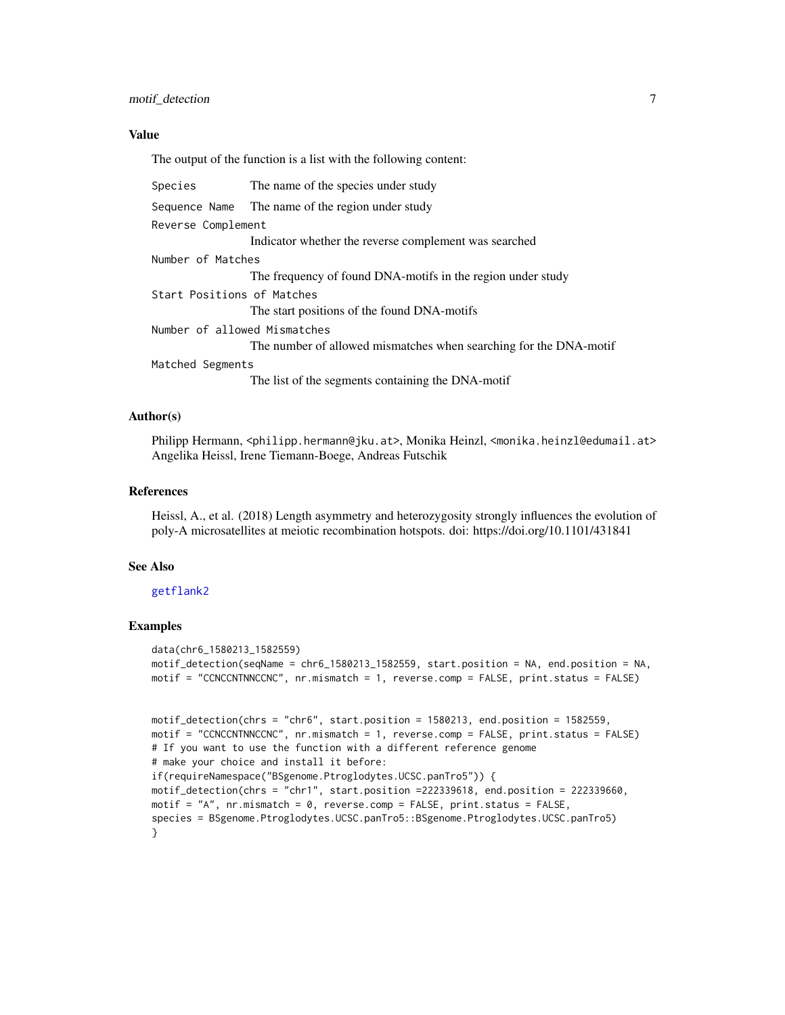#### <span id="page-6-0"></span>Value

The output of the function is a list with the following content:

| Species                      | The name of the species under study                               |  |
|------------------------------|-------------------------------------------------------------------|--|
| Sequence Name                | The name of the region under study                                |  |
| Reverse Complement           |                                                                   |  |
|                              | Indicator whether the reverse complement was searched             |  |
| Number of Matches            |                                                                   |  |
|                              | The frequency of found DNA-motifs in the region under study       |  |
| Start Positions of Matches   |                                                                   |  |
|                              | The start positions of the found DNA-motifs                       |  |
| Number of allowed Mismatches |                                                                   |  |
|                              | The number of allowed mismatches when searching for the DNA-motif |  |
| Matched Segments             |                                                                   |  |
|                              | The list of the segments containing the DNA-motif                 |  |

#### Author(s)

Philipp Hermann, <philipp.hermann@jku.at>, Monika Heinzl, <monika.heinzl@edumail.at> Angelika Heissl, Irene Tiemann-Boege, Andreas Futschik

#### References

Heissl, A., et al. (2018) Length asymmetry and heterozygosity strongly influences the evolution of poly-A microsatellites at meiotic recombination hotspots. doi: https://doi.org/10.1101/431841

### See Also

#### [getflank2](#page-3-1)

#### Examples

```
data(chr6_1580213_1582559)
motif_detection(seqName = chr6_1580213_1582559, start.position = NA, end.position = NA,
motif = "CCNCCNTNNCCNC", nr.mismatch = 1, reverse.comp = FALSE, print.status = FALSE)
motif_detection(chrs = "chr6", start.position = 1580213, end.position = 1582559,
motif = "CCNCCNTNNCCNC", nr.mismatch = 1, reverse.comp = FALSE, print.status = FALSE)
# If you want to use the function with a different reference genome
# make your choice and install it before:
if(requireNamespace("BSgenome.Ptroglodytes.UCSC.panTro5")) {
motif_detection(chrs = "chr1", start.position =222339618, end.position = 222339660,
```

```
motif = "A", nr.mismatch = 0, reverse.comp = FALSE, print.status = FALSE,
species = BSgenome.Ptroglodytes.UCSC.panTro5::BSgenome.Ptroglodytes.UCSC.panTro5)
}
```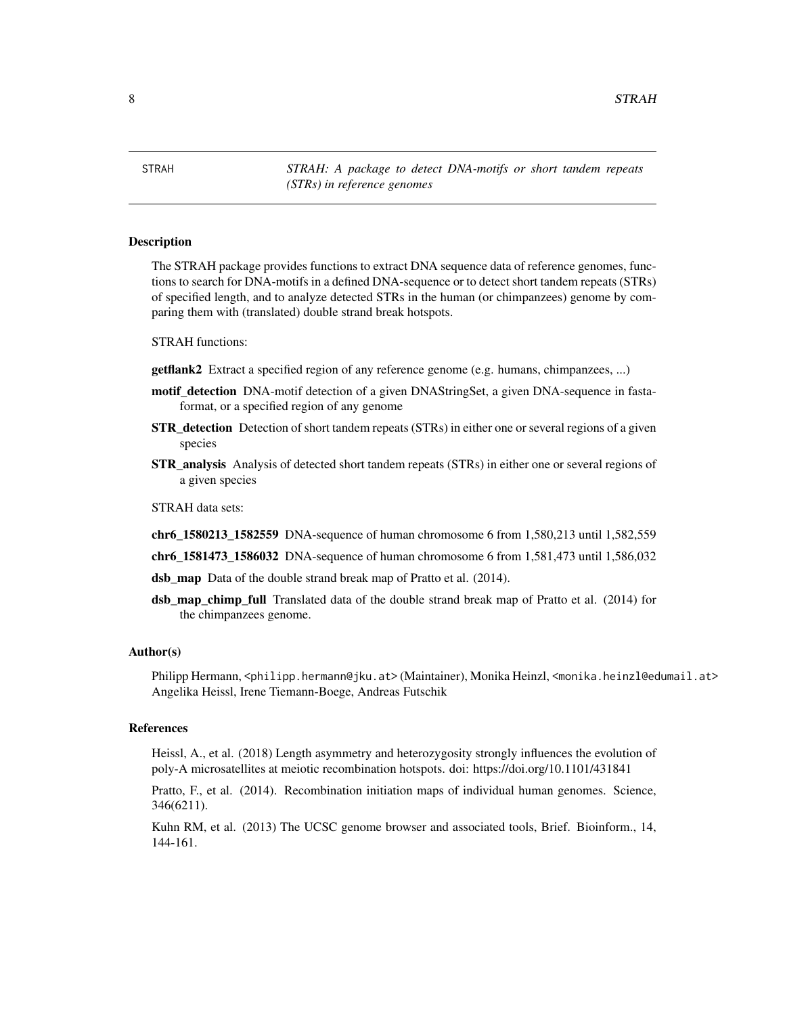<span id="page-7-0"></span>8 STRAH

STRAH *STRAH: A package to detect DNA-motifs or short tandem repeats (STRs) in reference genomes*

#### Description

The STRAH package provides functions to extract DNA sequence data of reference genomes, functions to search for DNA-motifs in a defined DNA-sequence or to detect short tandem repeats (STRs) of specified length, and to analyze detected STRs in the human (or chimpanzees) genome by comparing them with (translated) double strand break hotspots.

STRAH functions:

getflank2 Extract a specified region of any reference genome (e.g. humans, chimpanzees, ...)

- motif\_detection DNA-motif detection of a given DNAStringSet, a given DNA-sequence in fastaformat, or a specified region of any genome
- **STR\_detection** Detection of short tandem repeats (STRs) in either one or several regions of a given species
- STR\_analysis Analysis of detected short tandem repeats (STRs) in either one or several regions of a given species

STRAH data sets:

- chr6\_1580213\_1582559 DNA-sequence of human chromosome 6 from 1,580,213 until 1,582,559
- chr6\_1581473\_1586032 DNA-sequence of human chromosome 6 from 1,581,473 until 1,586,032
- dsb\_map Data of the double strand break map of Pratto et al. (2014).
- dsb\_map\_chimp\_full Translated data of the double strand break map of Pratto et al. (2014) for the chimpanzees genome.

#### Author(s)

Philipp Hermann, <philipp.hermann@jku.at> (Maintainer), Monika Heinzl, <monika.heinzl@edumail.at> Angelika Heissl, Irene Tiemann-Boege, Andreas Futschik

#### References

Heissl, A., et al. (2018) Length asymmetry and heterozygosity strongly influences the evolution of poly-A microsatellites at meiotic recombination hotspots. doi: https://doi.org/10.1101/431841

Pratto, F., et al. (2014). Recombination initiation maps of individual human genomes. Science, 346(6211).

Kuhn RM, et al. (2013) The UCSC genome browser and associated tools, Brief. Bioinform., 14, 144-161.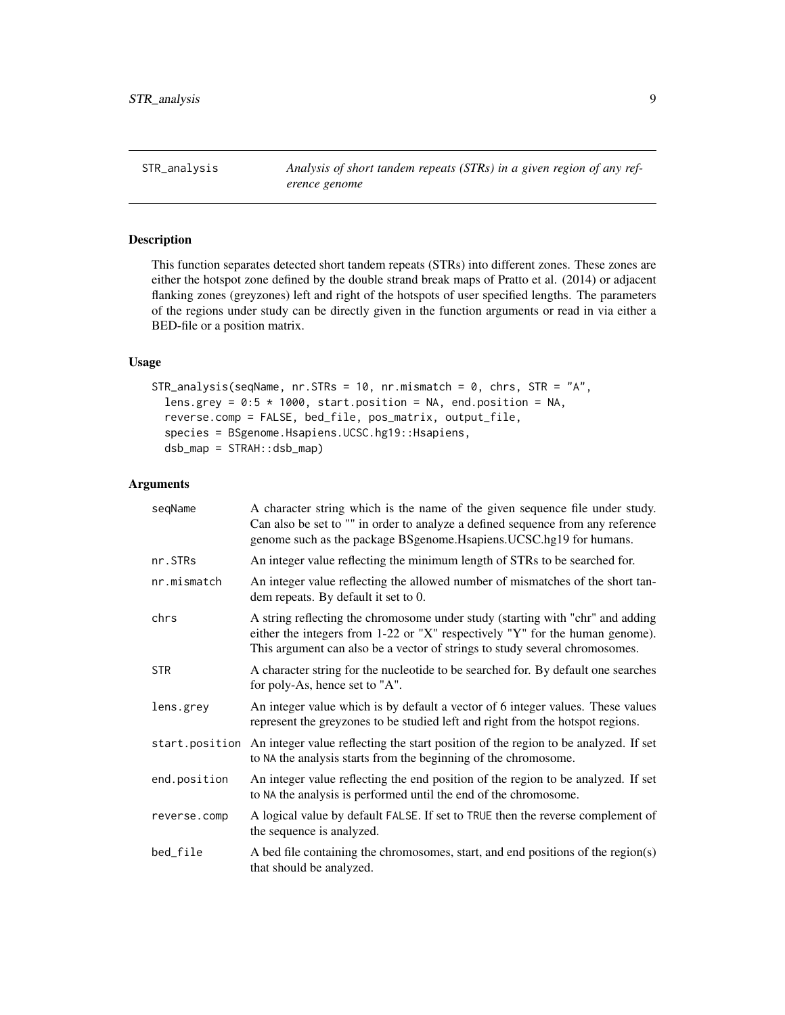<span id="page-8-1"></span><span id="page-8-0"></span>STR\_analysis *Analysis of short tandem repeats (STRs) in a given region of any reference genome*

# Description

This function separates detected short tandem repeats (STRs) into different zones. These zones are either the hotspot zone defined by the double strand break maps of Pratto et al. (2014) or adjacent flanking zones (greyzones) left and right of the hotspots of user specified lengths. The parameters of the regions under study can be directly given in the function arguments or read in via either a BED-file or a position matrix.

#### Usage

```
STR_analysis(seqName, nr.STRs = 10, nr.mismatch = 0, chrs, STR = "A",
  lens.grey = 0:5 * 1000, start.position = NA, end.position = NA,
  reverse.comp = FALSE, bed_file, pos_matrix, output_file,
  species = BSgenome.Hsapiens.UCSC.hg19::Hsapiens,
  dsb_map = STRAH::dsb_map)
```
#### Arguments

| segName        | A character string which is the name of the given sequence file under study.<br>Can also be set to "" in order to analyze a defined sequence from any reference<br>genome such as the package BSgenome. Hsapiens. UCSC.hg19 for humans.       |
|----------------|-----------------------------------------------------------------------------------------------------------------------------------------------------------------------------------------------------------------------------------------------|
| nr.STRs        | An integer value reflecting the minimum length of STRs to be searched for.                                                                                                                                                                    |
| nr.mismatch    | An integer value reflecting the allowed number of mismatches of the short tan-<br>dem repeats. By default it set to 0.                                                                                                                        |
| chrs           | A string reflecting the chromosome under study (starting with "chr" and adding<br>either the integers from 1-22 or "X" respectively "Y" for the human genome).<br>This argument can also be a vector of strings to study several chromosomes. |
| <b>STR</b>     | A character string for the nucleotide to be searched for. By default one searches<br>for poly-As, hence set to "A".                                                                                                                           |
| lens.grey      | An integer value which is by default a vector of 6 integer values. These values<br>represent the greyzones to be studied left and right from the hotspot regions.                                                                             |
| start.position | An integer value reflecting the start position of the region to be analyzed. If set<br>to NA the analysis starts from the beginning of the chromosome.                                                                                        |
| end.position   | An integer value reflecting the end position of the region to be analyzed. If set<br>to NA the analysis is performed until the end of the chromosome.                                                                                         |
| reverse.comp   | A logical value by default FALSE. If set to TRUE then the reverse complement of<br>the sequence is analyzed.                                                                                                                                  |
| bed_file       | A bed file containing the chromosomes, start, and end positions of the region(s)<br>that should be analyzed.                                                                                                                                  |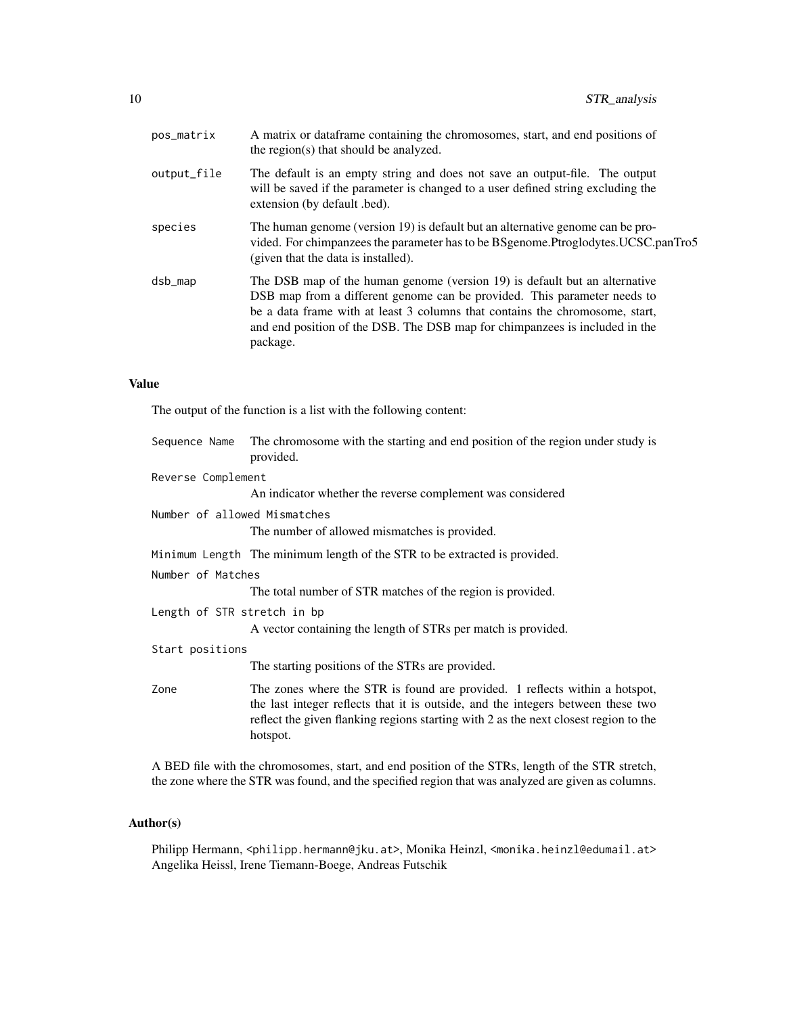| pos_matrix  | A matrix or data frame containing the chromosomes, start, and end positions of<br>the region(s) that should be analyzed.                                                                                                                                                                                                          |
|-------------|-----------------------------------------------------------------------------------------------------------------------------------------------------------------------------------------------------------------------------------------------------------------------------------------------------------------------------------|
| output_file | The default is an empty string and does not save an output-file. The output<br>will be saved if the parameter is changed to a user defined string excluding the<br>extension (by default .bed).                                                                                                                                   |
| species     | The human genome (version 19) is default but an alternative genome can be pro-<br>vided. For chimpanzees the parameter has to be BSgenome. Ptroglodytes. UCSC.panTro5<br>(given that the data is installed).                                                                                                                      |
| dsb_map     | The DSB map of the human genome (version 19) is default but an alternative<br>DSB map from a different genome can be provided. This parameter needs to<br>be a data frame with at least 3 columns that contains the chromosome, start,<br>and end position of the DSB. The DSB map for chimpanzees is included in the<br>package. |

# Value

The output of the function is a list with the following content:

| Sequence Name                | The chromosome with the starting and end position of the region under study is<br>provided.                                                                                                                                                                         |  |
|------------------------------|---------------------------------------------------------------------------------------------------------------------------------------------------------------------------------------------------------------------------------------------------------------------|--|
| Reverse Complement           |                                                                                                                                                                                                                                                                     |  |
|                              | An indicator whether the reverse complement was considered                                                                                                                                                                                                          |  |
| Number of allowed Mismatches |                                                                                                                                                                                                                                                                     |  |
|                              | The number of allowed mismatches is provided.                                                                                                                                                                                                                       |  |
|                              | Minimum Length The minimum length of the STR to be extracted is provided.                                                                                                                                                                                           |  |
| Number of Matches            |                                                                                                                                                                                                                                                                     |  |
|                              | The total number of STR matches of the region is provided.                                                                                                                                                                                                          |  |
| Length of STR stretch in bp  |                                                                                                                                                                                                                                                                     |  |
|                              | A vector containing the length of STRs per match is provided.                                                                                                                                                                                                       |  |
| Start positions              |                                                                                                                                                                                                                                                                     |  |
|                              | The starting positions of the STRs are provided.                                                                                                                                                                                                                    |  |
| Zone                         | The zones where the STR is found are provided. 1 reflects within a hotspot,<br>the last integer reflects that it is outside, and the integers between these two<br>reflect the given flanking regions starting with 2 as the next closest region to the<br>hotspot. |  |
|                              |                                                                                                                                                                                                                                                                     |  |

A BED file with the chromosomes, start, and end position of the STRs, length of the STR stretch, the zone where the STR was found, and the specified region that was analyzed are given as columns.

# Author(s)

Philipp Hermann, <philipp.hermann@jku.at>, Monika Heinzl, <monika.heinzl@edumail.at> Angelika Heissl, Irene Tiemann-Boege, Andreas Futschik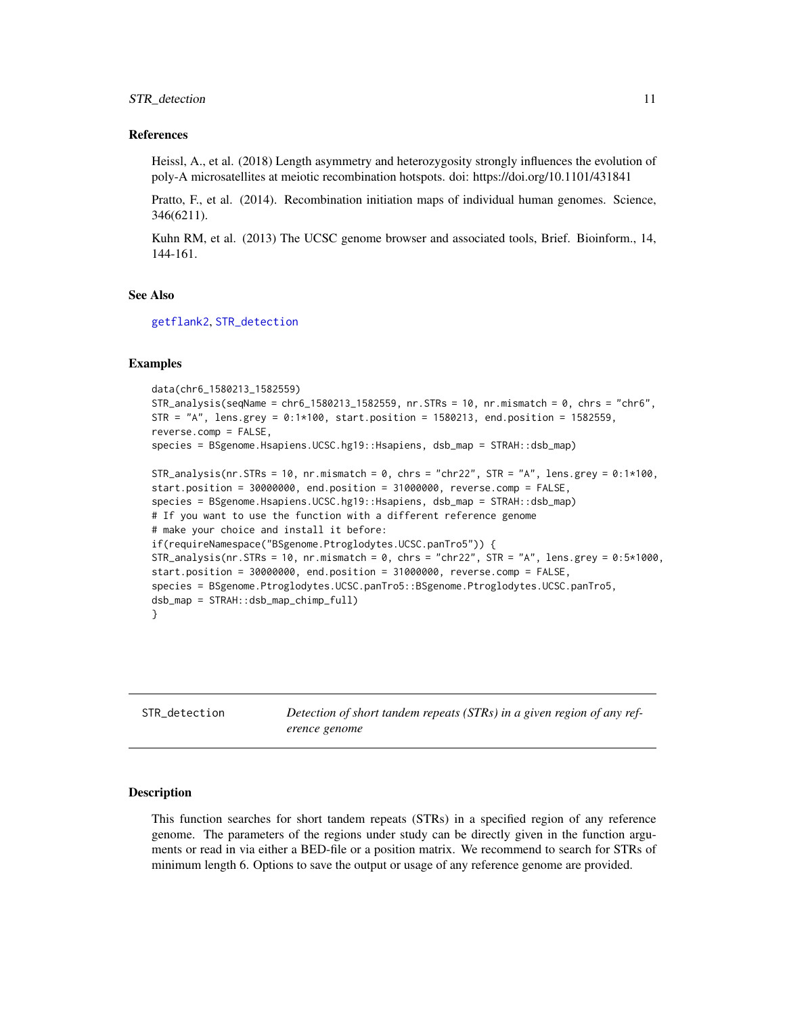#### <span id="page-10-0"></span>References

Heissl, A., et al. (2018) Length asymmetry and heterozygosity strongly influences the evolution of poly-A microsatellites at meiotic recombination hotspots. doi: https://doi.org/10.1101/431841

Pratto, F., et al. (2014). Recombination initiation maps of individual human genomes. Science, 346(6211).

Kuhn RM, et al. (2013) The UCSC genome browser and associated tools, Brief. Bioinform., 14, 144-161.

### See Also

[getflank2](#page-3-1), [STR\\_detection](#page-10-1)

#### Examples

```
data(chr6_1580213_1582559)
STR_analysis(seqName = chr6_1580213_1582559, nr.STRs = 10, nr.mismatch = 0, chrs = "chr6",
STR = "A", lens.grey = 0:1*100, start.position = 1580213, end.position = 1582559,reverse.comp = FALSE,
species = BSgenome.Hsapiens.UCSC.hg19::Hsapiens, dsb_map = STRAH::dsb_map)
STR_analysis(nr.STRs = 10, nr.mismatch = 0, chrs = "chr22", STR = "A", lens.grey = 0:1*100,
start.position = 30000000, end.position = 31000000, reverse.comp = FALSE,
species = BSgenome.Hsapiens.UCSC.hg19::Hsapiens, dsb_map = STRAH::dsb_map)
# If you want to use the function with a different reference genome
# make your choice and install it before:
if(requireNamespace("BSgenome.Ptroglodytes.UCSC.panTro5")) {
STR_analysis(nr.STRs = 10, nr.mismatch = 0, chrs = "chr22", STR = "A", lens.grey = 0:5*1000,
start.position = 30000000, end.position = 31000000, reverse.comp = FALSE,
species = BSgenome.Ptroglodytes.UCSC.panTro5::BSgenome.Ptroglodytes.UCSC.panTro5,
dsb_map = STRAH::dsb_map_chimp_full)
}
```
<span id="page-10-1"></span>STR\_detection *Detection of short tandem repeats (STRs) in a given region of any reference genome*

#### Description

This function searches for short tandem repeats (STRs) in a specified region of any reference genome. The parameters of the regions under study can be directly given in the function arguments or read in via either a BED-file or a position matrix. We recommend to search for STRs of minimum length 6. Options to save the output or usage of any reference genome are provided.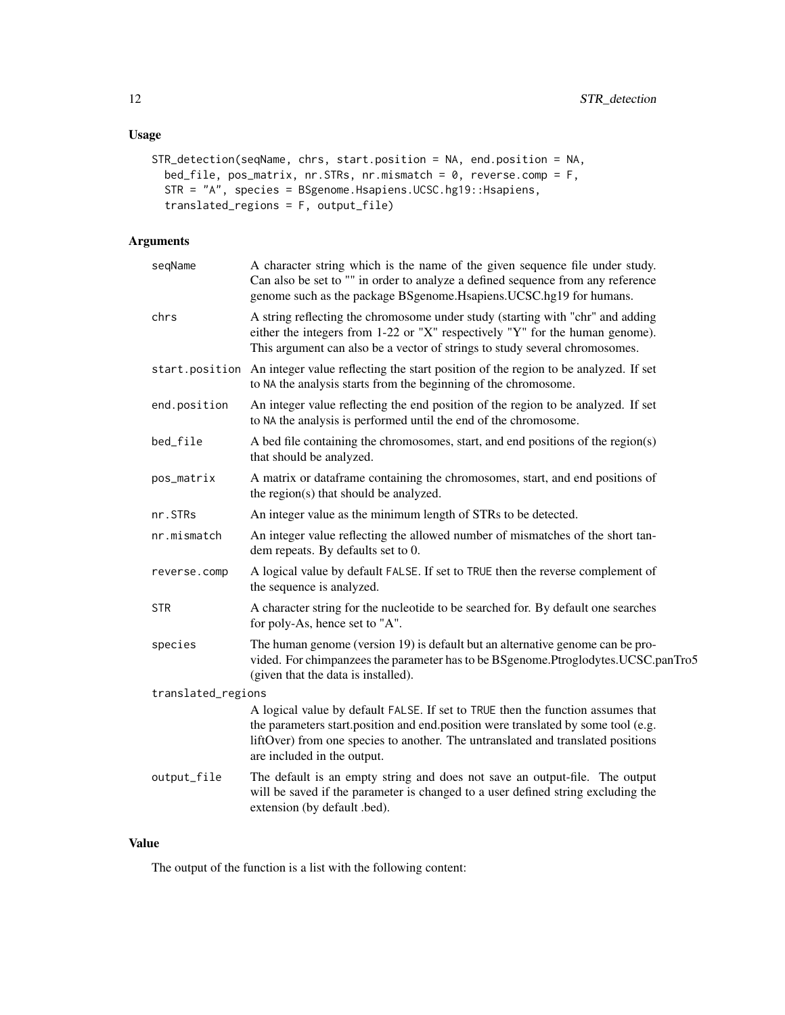# Usage

```
STR_detection(seqName, chrs, start.position = NA, end.position = NA,
 bed_file, pos_matrix, nr.STRs, nr.mismatch = 0, reverse.comp = F,
  STR = "A", species = BSgenome.Hsapiens.UCSC.hg19::Hsapiens,
 translated_regions = F, output_file)
```
# Arguments

| seqName            | A character string which is the name of the given sequence file under study.<br>Can also be set to "" in order to analyze a defined sequence from any reference<br>genome such as the package BSgenome. Hsapiens. UCSC.hg19 for humans.                                                 |
|--------------------|-----------------------------------------------------------------------------------------------------------------------------------------------------------------------------------------------------------------------------------------------------------------------------------------|
| chrs               | A string reflecting the chromosome under study (starting with "chr" and adding<br>either the integers from 1-22 or "X" respectively "Y" for the human genome).<br>This argument can also be a vector of strings to study several chromosomes.                                           |
|                    | start.position An integer value reflecting the start position of the region to be analyzed. If set<br>to NA the analysis starts from the beginning of the chromosome.                                                                                                                   |
| end.position       | An integer value reflecting the end position of the region to be analyzed. If set<br>to NA the analysis is performed until the end of the chromosome.                                                                                                                                   |
| bed_file           | A bed file containing the chromosomes, start, and end positions of the region(s)<br>that should be analyzed.                                                                                                                                                                            |
| pos_matrix         | A matrix or dataframe containing the chromosomes, start, and end positions of<br>the region(s) that should be analyzed.                                                                                                                                                                 |
| nr.STRs            | An integer value as the minimum length of STRs to be detected.                                                                                                                                                                                                                          |
| nr.mismatch        | An integer value reflecting the allowed number of mismatches of the short tan-<br>dem repeats. By defaults set to 0.                                                                                                                                                                    |
| reverse.comp       | A logical value by default FALSE. If set to TRUE then the reverse complement of<br>the sequence is analyzed.                                                                                                                                                                            |
| <b>STR</b>         | A character string for the nucleotide to be searched for. By default one searches<br>for poly-As, hence set to "A".                                                                                                                                                                     |
| species            | The human genome (version 19) is default but an alternative genome can be pro-<br>vided. For chimpanzees the parameter has to be BSgenome.Ptroglodytes.UCSC.panTro5<br>(given that the data is installed).                                                                              |
| translated_regions |                                                                                                                                                                                                                                                                                         |
|                    | A logical value by default FALSE. If set to TRUE then the function assumes that<br>the parameters start position and end position were translated by some tool (e.g.<br>liftOver) from one species to another. The untranslated and translated positions<br>are included in the output. |
| output_file        | The default is an empty string and does not save an output-file. The output<br>will be saved if the parameter is changed to a user defined string excluding the<br>extension (by default .bed).                                                                                         |
|                    |                                                                                                                                                                                                                                                                                         |

# Value

The output of the function is a list with the following content: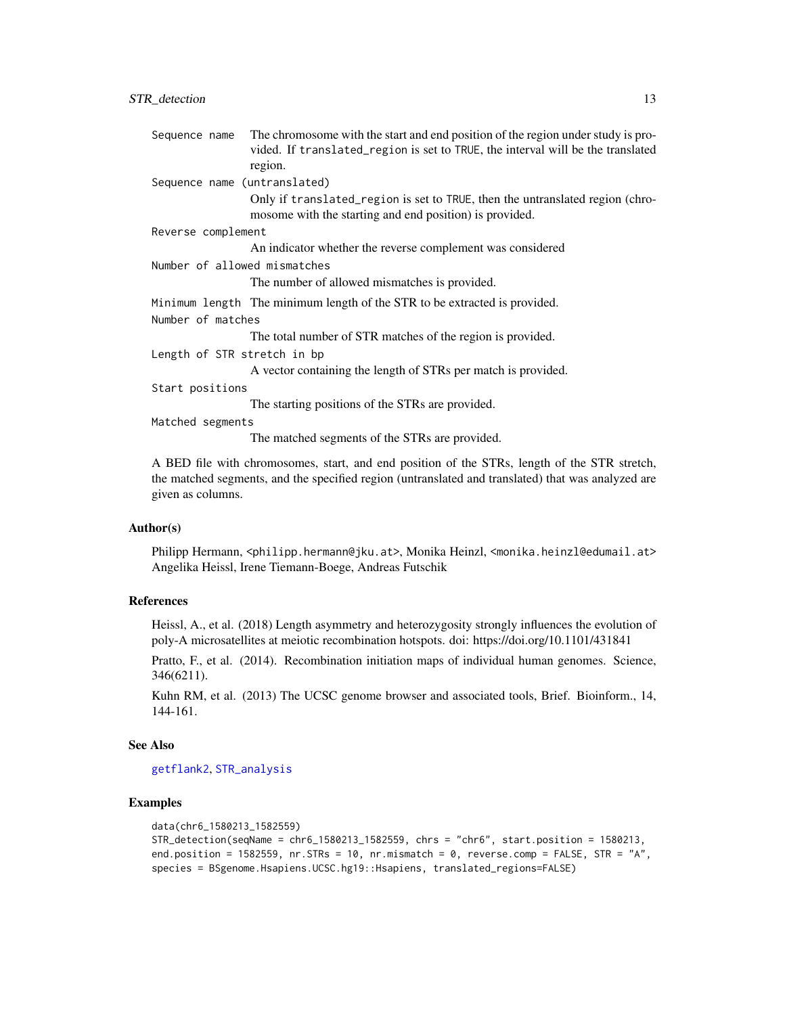<span id="page-12-0"></span>

| Sequence name                | The chromosome with the start and end position of the region under study is pro-                                                         |
|------------------------------|------------------------------------------------------------------------------------------------------------------------------------------|
|                              | vided. If translated_region is set to TRUE, the interval will be the translated                                                          |
|                              | region.                                                                                                                                  |
| Sequence name (untranslated) |                                                                                                                                          |
|                              | Only if translated_region is set to TRUE, then the untranslated region (chro-<br>mosome with the starting and end position) is provided. |
| Reverse complement           |                                                                                                                                          |
|                              | An indicator whether the reverse complement was considered                                                                               |
| Number of allowed mismatches |                                                                                                                                          |
|                              | The number of allowed mismatches is provided.                                                                                            |
|                              | Minimum length The minimum length of the STR to be extracted is provided.                                                                |
| Number of matches            |                                                                                                                                          |
|                              | The total number of STR matches of the region is provided.                                                                               |
| Length of STR stretch in bp  |                                                                                                                                          |
|                              | A vector containing the length of STRs per match is provided.                                                                            |
| Start positions              |                                                                                                                                          |
|                              | The starting positions of the STRs are provided.                                                                                         |
| Matched segments             |                                                                                                                                          |
|                              | The matched segments of the STRs are provided.                                                                                           |
|                              |                                                                                                                                          |

A BED file with chromosomes, start, and end position of the STRs, length of the STR stretch, the matched segments, and the specified region (untranslated and translated) that was analyzed are given as columns.

# Author(s)

Philipp Hermann, <philipp.hermann@jku.at>, Monika Heinzl, <monika.heinzl@edumail.at> Angelika Heissl, Irene Tiemann-Boege, Andreas Futschik

#### References

Heissl, A., et al. (2018) Length asymmetry and heterozygosity strongly influences the evolution of poly-A microsatellites at meiotic recombination hotspots. doi: https://doi.org/10.1101/431841

Pratto, F., et al. (2014). Recombination initiation maps of individual human genomes. Science, 346(6211).

Kuhn RM, et al. (2013) The UCSC genome browser and associated tools, Brief. Bioinform., 14, 144-161.

#### See Also

[getflank2](#page-3-1), [STR\\_analysis](#page-8-1)

# Examples

```
data(chr6_1580213_1582559)
STR_detection(seqName = chr6_1580213_1582559, chrs = "chr6", start.position = 1580213,
end.position = 1582559, nr.STRs = 10, nr.mismatch = 0, reverse.comp = FALSE, STR = "A",
species = BSgenome.Hsapiens.UCSC.hg19::Hsapiens, translated_regions=FALSE)
```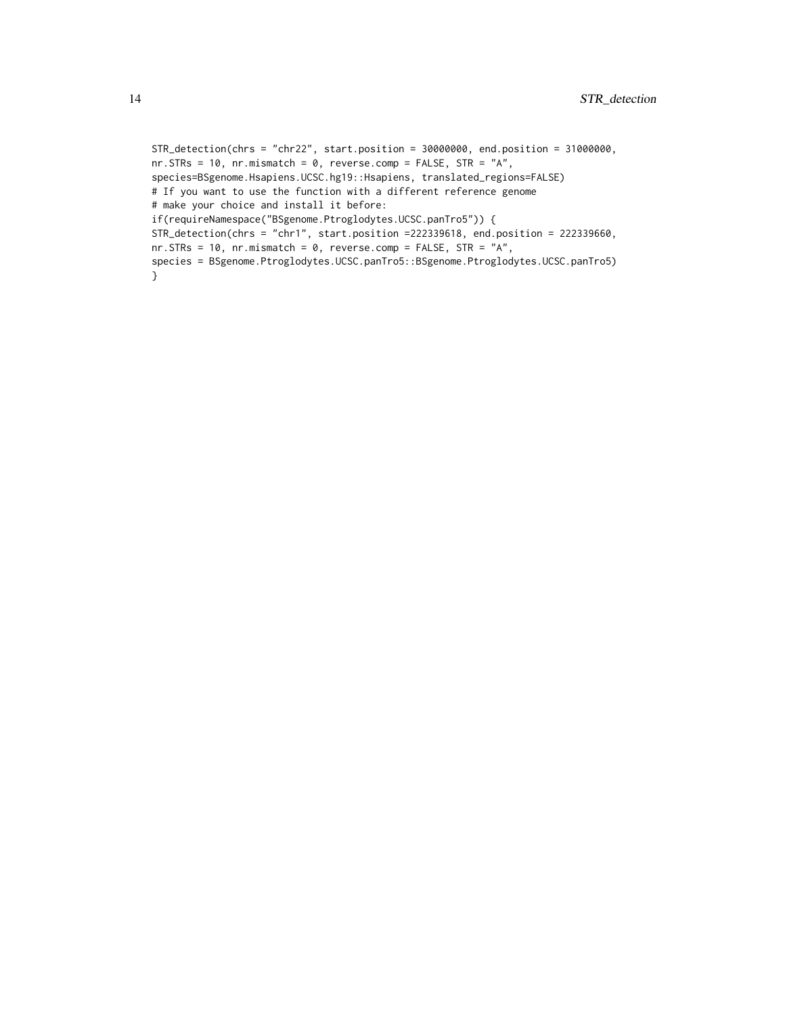```
STR_detection(chrs = "chr22", start.position = 30000000, end.position = 31000000,
nr.STRs = 10, nr.mismatch = 0, reverse.comp = FALSE, STR = 'A'',
species=BSgenome.Hsapiens.UCSC.hg19::Hsapiens, translated_regions=FALSE)
# If you want to use the function with a different reference genome
# make your choice and install it before:
if(requireNamespace("BSgenome.Ptroglodytes.UCSC.panTro5")) {
STR_detection(chrs = "chr1", start.position =222339618, end.position = 222339660,
nr.STRs = 10, nr.mismatch = 0, reverse.comp = FALSE, STR = 'A'',
species = BSgenome.Ptroglodytes.UCSC.panTro5::BSgenome.Ptroglodytes.UCSC.panTro5)
}
```